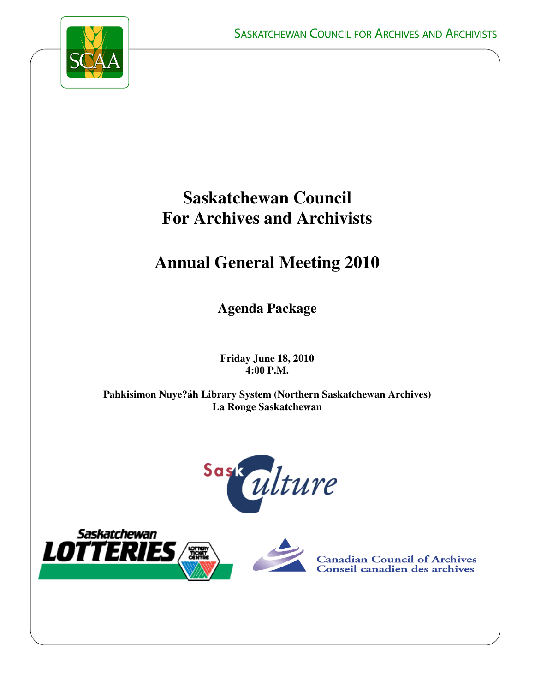

# **Saskatchewan Council For Archives and Archivists**

# **Annual General Meeting 2010**

**Agenda Package** 

**Friday June 18, 2010 4:00 P.M.** 

**Pahkisimon Nuye?áh Library System (Northern Saskatchewan Archives) La Ronge Saskatchewan** 







**Canadian Council of Archives<br>Conseil canadien des archives**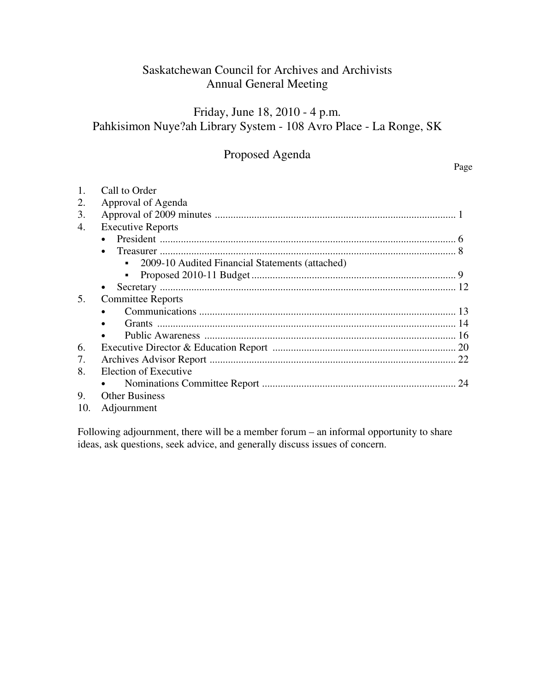# Saskatchewan Council for Archives and Archivists Annual General Meeting

# Friday, June 18, 2010 - 4 p.m. Pahkisimon Nuye?ah Library System - 108 Avro Place - La Ronge, SK

# Proposed Agenda

## 1. Call to Order 2. Approval of Agenda 3. Approval of 2009 minutes ............................................................................................ 1 4. Executive Reports • President ................................................................................................................. 6 • Treasurer ................................................................................................................. 8 • 2009-10 Audited Financial Statements (attached) Proposed 2010-11 Budget .............................................................................. 9 • Secretary ................................................................................................................. 12 5. Committee Reports • Communications .................................................................................................. 13 • Grants .................................................................................................................. 14 • Public Awareness ................................................................................................ 16 6. Executive Director & Education Report ...................................................................... 20 7. Archives Advisor Report .............................................................................................. 22 8. Election of Executive • Nominations Committee Report .......................................................................... 24 9. Other Business 10. Adjournment

Following adjournment, there will be a member forum – an informal opportunity to share ideas, ask questions, seek advice, and generally discuss issues of concern.

### Page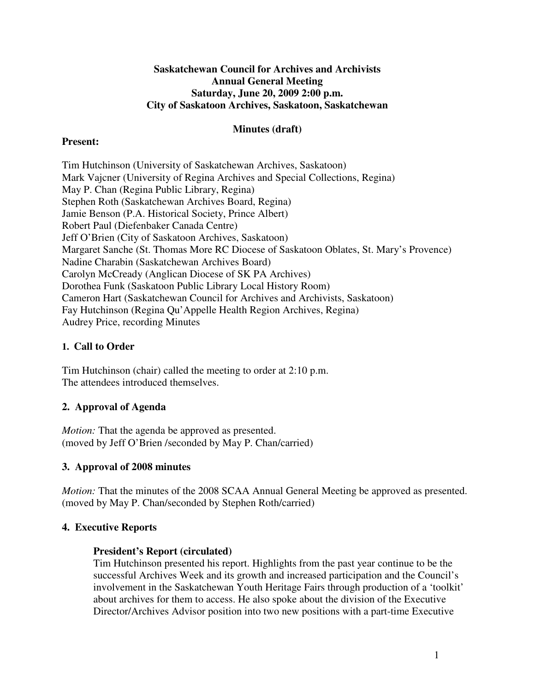## **Saskatchewan Council for Archives and Archivists Annual General Meeting Saturday, June 20, 2009 2:00 p.m. City of Saskatoon Archives, Saskatoon, Saskatchewan**

## **Minutes (draft)**

## **Present:**

Tim Hutchinson (University of Saskatchewan Archives, Saskatoon) Mark Vajcner (University of Regina Archives and Special Collections, Regina) May P. Chan (Regina Public Library, Regina) Stephen Roth (Saskatchewan Archives Board, Regina) Jamie Benson (P.A. Historical Society, Prince Albert) Robert Paul (Diefenbaker Canada Centre) Jeff O'Brien (City of Saskatoon Archives, Saskatoon) Margaret Sanche (St. Thomas More RC Diocese of Saskatoon Oblates, St. Mary's Provence) Nadine Charabin (Saskatchewan Archives Board) Carolyn McCready (Anglican Diocese of SK PA Archives) Dorothea Funk (Saskatoon Public Library Local History Room) Cameron Hart (Saskatchewan Council for Archives and Archivists, Saskatoon) Fay Hutchinson (Regina Qu'Appelle Health Region Archives, Regina) Audrey Price, recording Minutes

## **1. Call to Order**

Tim Hutchinson (chair) called the meeting to order at 2:10 p.m. The attendees introduced themselves.

# **2. Approval of Agenda**

*Motion:* That the agenda be approved as presented. (moved by Jeff O'Brien /seconded by May P. Chan/carried)

## **3. Approval of 2008 minutes**

*Motion:* That the minutes of the 2008 SCAA Annual General Meeting be approved as presented. (moved by May P. Chan/seconded by Stephen Roth/carried)

## **4. Executive Reports**

## **President's Report (circulated)**

Tim Hutchinson presented his report. Highlights from the past year continue to be the successful Archives Week and its growth and increased participation and the Council's involvement in the Saskatchewan Youth Heritage Fairs through production of a 'toolkit' about archives for them to access. He also spoke about the division of the Executive Director/Archives Advisor position into two new positions with a part-time Executive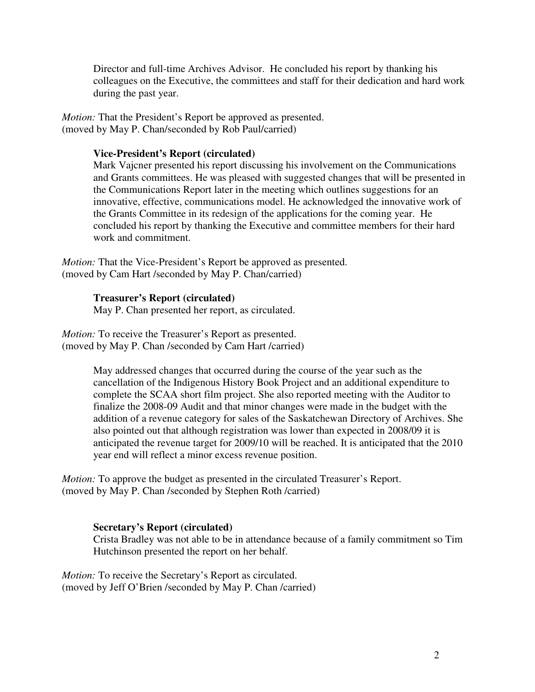Director and full-time Archives Advisor. He concluded his report by thanking his colleagues on the Executive, the committees and staff for their dedication and hard work during the past year.

*Motion:* That the President's Report be approved as presented. (moved by May P. Chan/seconded by Rob Paul/carried)

## **Vice-President's Report (circulated)**

Mark Vajcner presented his report discussing his involvement on the Communications and Grants committees. He was pleased with suggested changes that will be presented in the Communications Report later in the meeting which outlines suggestions for an innovative, effective, communications model. He acknowledged the innovative work of the Grants Committee in its redesign of the applications for the coming year. He concluded his report by thanking the Executive and committee members for their hard work and commitment.

*Motion:* That the Vice-President's Report be approved as presented. (moved by Cam Hart /seconded by May P. Chan/carried)

## **Treasurer's Report (circulated)**

May P. Chan presented her report, as circulated.

*Motion:* To receive the Treasurer's Report as presented. (moved by May P. Chan /seconded by Cam Hart /carried)

> May addressed changes that occurred during the course of the year such as the cancellation of the Indigenous History Book Project and an additional expenditure to complete the SCAA short film project. She also reported meeting with the Auditor to finalize the 2008-09 Audit and that minor changes were made in the budget with the addition of a revenue category for sales of the Saskatchewan Directory of Archives. She also pointed out that although registration was lower than expected in 2008/09 it is anticipated the revenue target for 2009/10 will be reached. It is anticipated that the 2010 year end will reflect a minor excess revenue position.

*Motion:* To approve the budget as presented in the circulated Treasurer's Report. (moved by May P. Chan /seconded by Stephen Roth /carried)

## **Secretary's Report (circulated)**

Crista Bradley was not able to be in attendance because of a family commitment so Tim Hutchinson presented the report on her behalf.

*Motion:* To receive the Secretary's Report as circulated. (moved by Jeff O'Brien /seconded by May P. Chan /carried)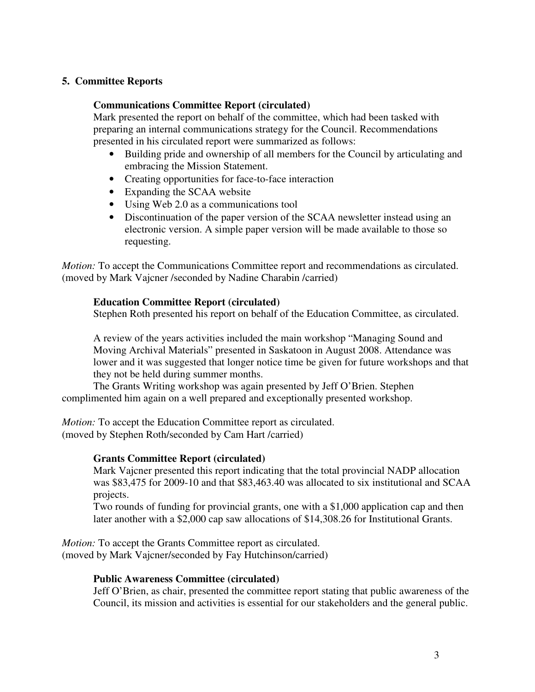## **5. Committee Reports**

## **Communications Committee Report (circulated)**

Mark presented the report on behalf of the committee, which had been tasked with preparing an internal communications strategy for the Council. Recommendations presented in his circulated report were summarized as follows:

- Building pride and ownership of all members for the Council by articulating and embracing the Mission Statement.
- Creating opportunities for face-to-face interaction
- Expanding the SCAA website
- Using Web 2.0 as a communications tool
- Discontinuation of the paper version of the SCAA newsletter instead using an electronic version. A simple paper version will be made available to those so requesting.

*Motion:* To accept the Communications Committee report and recommendations as circulated. (moved by Mark Vajcner /seconded by Nadine Charabin /carried)

### **Education Committee Report (circulated)**

Stephen Roth presented his report on behalf of the Education Committee, as circulated.

A review of the years activities included the main workshop "Managing Sound and Moving Archival Materials" presented in Saskatoon in August 2008. Attendance was lower and it was suggested that longer notice time be given for future workshops and that they not be held during summer months.

The Grants Writing workshop was again presented by Jeff O'Brien. Stephen complimented him again on a well prepared and exceptionally presented workshop.

*Motion:* To accept the Education Committee report as circulated. (moved by Stephen Roth/seconded by Cam Hart /carried)

### **Grants Committee Report (circulated)**

Mark Vajcner presented this report indicating that the total provincial NADP allocation was \$83,475 for 2009-10 and that \$83,463.40 was allocated to six institutional and SCAA projects.

Two rounds of funding for provincial grants, one with a \$1,000 application cap and then later another with a \$2,000 cap saw allocations of \$14,308.26 for Institutional Grants.

*Motion:* To accept the Grants Committee report as circulated. (moved by Mark Vajcner/seconded by Fay Hutchinson/carried)

### **Public Awareness Committee (circulated)**

Jeff O'Brien, as chair, presented the committee report stating that public awareness of the Council, its mission and activities is essential for our stakeholders and the general public.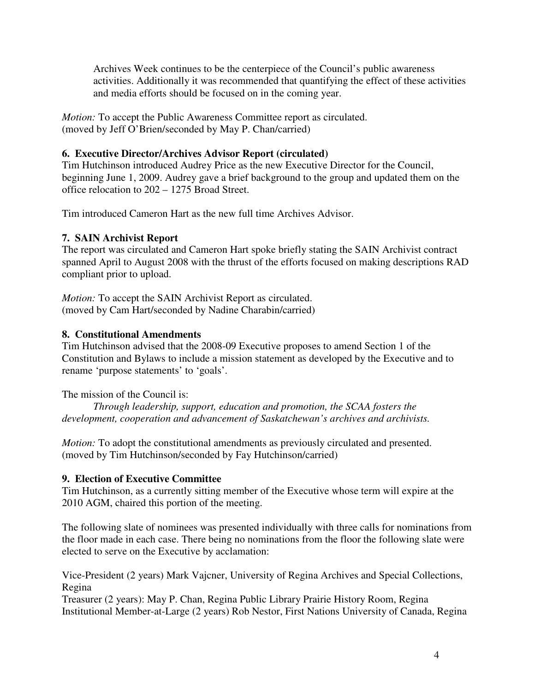Archives Week continues to be the centerpiece of the Council's public awareness activities. Additionally it was recommended that quantifying the effect of these activities and media efforts should be focused on in the coming year.

*Motion:* To accept the Public Awareness Committee report as circulated. (moved by Jeff O'Brien/seconded by May P. Chan/carried)

## **6. Executive Director/Archives Advisor Report (circulated)**

Tim Hutchinson introduced Audrey Price as the new Executive Director for the Council, beginning June 1, 2009. Audrey gave a brief background to the group and updated them on the office relocation to 202 – 1275 Broad Street.

Tim introduced Cameron Hart as the new full time Archives Advisor.

# **7. SAIN Archivist Report**

The report was circulated and Cameron Hart spoke briefly stating the SAIN Archivist contract spanned April to August 2008 with the thrust of the efforts focused on making descriptions RAD compliant prior to upload.

*Motion:* To accept the SAIN Archivist Report as circulated. (moved by Cam Hart/seconded by Nadine Charabin/carried)

# **8. Constitutional Amendments**

Tim Hutchinson advised that the 2008-09 Executive proposes to amend Section 1 of the Constitution and Bylaws to include a mission statement as developed by the Executive and to rename 'purpose statements' to 'goals'.

The mission of the Council is:

*Through leadership, support, education and promotion, the SCAA fosters the development, cooperation and advancement of Saskatchewan's archives and archivists.*

*Motion:* To adopt the constitutional amendments as previously circulated and presented. (moved by Tim Hutchinson/seconded by Fay Hutchinson/carried)

# **9. Election of Executive Committee**

Tim Hutchinson, as a currently sitting member of the Executive whose term will expire at the 2010 AGM, chaired this portion of the meeting.

The following slate of nominees was presented individually with three calls for nominations from the floor made in each case. There being no nominations from the floor the following slate were elected to serve on the Executive by acclamation:

Vice-President (2 years) Mark Vajcner, University of Regina Archives and Special Collections, Regina

Treasurer (2 years): May P. Chan, Regina Public Library Prairie History Room, Regina Institutional Member-at-Large (2 years) Rob Nestor, First Nations University of Canada, Regina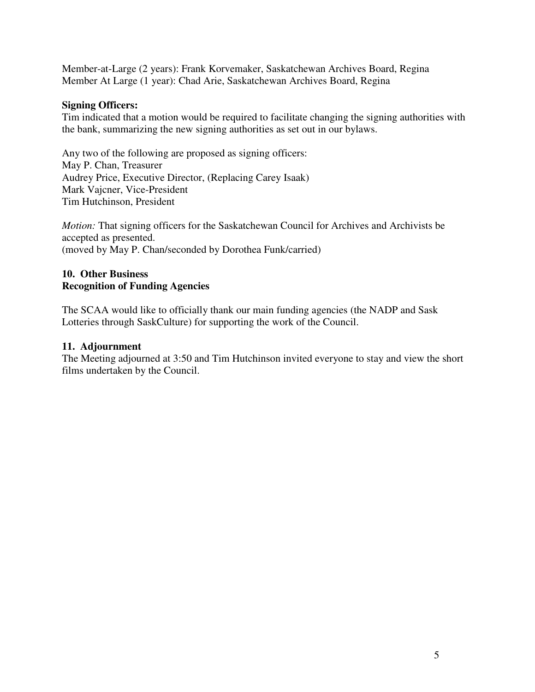Member-at-Large (2 years): Frank Korvemaker, Saskatchewan Archives Board, Regina Member At Large (1 year): Chad Arie, Saskatchewan Archives Board, Regina

## **Signing Officers:**

Tim indicated that a motion would be required to facilitate changing the signing authorities with the bank, summarizing the new signing authorities as set out in our bylaws.

Any two of the following are proposed as signing officers: May P. Chan, Treasurer Audrey Price, Executive Director, (Replacing Carey Isaak) Mark Vajcner, Vice-President Tim Hutchinson, President

*Motion:* That signing officers for the Saskatchewan Council for Archives and Archivists be accepted as presented. (moved by May P. Chan/seconded by Dorothea Funk/carried)

## **10. Other Business Recognition of Funding Agencies**

The SCAA would like to officially thank our main funding agencies (the NADP and Sask Lotteries through SaskCulture) for supporting the work of the Council.

## **11. Adjournment**

The Meeting adjourned at 3:50 and Tim Hutchinson invited everyone to stay and view the short films undertaken by the Council.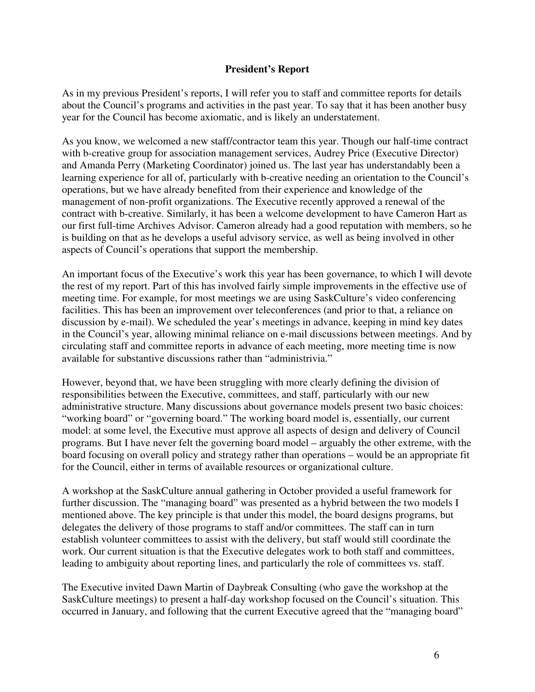## **President's Report**

As in my previous President's reports, I will refer you to staff and committee reports for details about the Council's programs and activities in the past year. To say that it has been another busy year for the Council has become axiomatic, and is likely an understatement.

As you know, we welcomed a new staff/contractor team this year. Though our half-time contract with b-creative group for association management services, Audrey Price (Executive Director) and Amanda Perry (Marketing Coordinator) joined us. The last year has understandably been a learning experience for all of, particularly with b-creative needing an orientation to the Council's operations, but we have already benefited from their experience and knowledge of the management of non-profit organizations. The Executive recently approved a renewal of the contract with b-creative. Similarly, it has been a welcome development to have Cameron Hart as our first full-time Archives Advisor. Cameron already had a good reputation with members, so he is building on that as he develops a useful advisory service, as well as being involved in other aspects of Council's operations that support the membership.

An important focus of the Executive's work this year has been governance, to which I will devote the rest of my report. Part of this has involved fairly simple improvements in the effective use of meeting time. For example, for most meetings we are using SaskCulture's video conferencing facilities. This has been an improvement over teleconferences (and prior to that, a reliance on discussion by e-mail). We scheduled the year's meetings in advance, keeping in mind key dates in the Council's year, allowing minimal reliance on e-mail discussions between meetings. And by circulating staff and committee reports in advance of each meeting, more meeting time is now available for substantive discussions rather than "administrivia."

However, beyond that, we have been struggling with more clearly defining the division of responsibilities between the Executive, committees, and staff, particularly with our new administrative structure. Many discussions about governance models present two basic choices: "working board" or "governing board." The working board model is, essentially, our current model: at some level, the Executive must approve all aspects of design and delivery of Council programs. But I have never felt the governing board model – arguably the other extreme, with the board focusing on overall policy and strategy rather than operations – would be an appropriate fit for the Council, either in terms of available resources or organizational culture.

A workshop at the SaskCulture annual gathering in October provided a useful framework for further discussion. The "managing board" was presented as a hybrid between the two models I mentioned above. The key principle is that under this model, the board designs programs, but delegates the delivery of those programs to staff and/or committees. The staff can in turn establish volunteer committees to assist with the delivery, but staff would still coordinate the work. Our current situation is that the Executive delegates work to both staff and committees, leading to ambiguity about reporting lines, and particularly the role of committees vs. staff.

The Executive invited Dawn Martin of Daybreak Consulting (who gave the workshop at the SaskCulture meetings) to present a half-day workshop focused on the Council's situation. This occurred in January, and following that the current Executive agreed that the "managing board"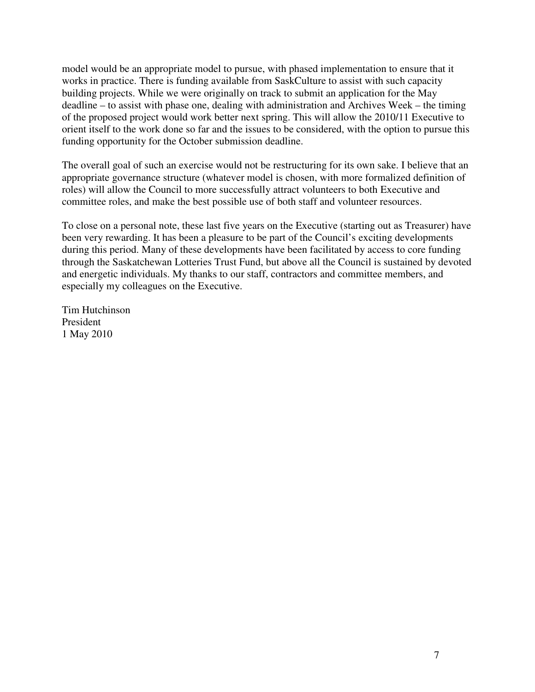model would be an appropriate model to pursue, with phased implementation to ensure that it works in practice. There is funding available from SaskCulture to assist with such capacity building projects. While we were originally on track to submit an application for the May deadline – to assist with phase one, dealing with administration and Archives Week – the timing of the proposed project would work better next spring. This will allow the 2010/11 Executive to orient itself to the work done so far and the issues to be considered, with the option to pursue this funding opportunity for the October submission deadline.

The overall goal of such an exercise would not be restructuring for its own sake. I believe that an appropriate governance structure (whatever model is chosen, with more formalized definition of roles) will allow the Council to more successfully attract volunteers to both Executive and committee roles, and make the best possible use of both staff and volunteer resources.

To close on a personal note, these last five years on the Executive (starting out as Treasurer) have been very rewarding. It has been a pleasure to be part of the Council's exciting developments during this period. Many of these developments have been facilitated by access to core funding through the Saskatchewan Lotteries Trust Fund, but above all the Council is sustained by devoted and energetic individuals. My thanks to our staff, contractors and committee members, and especially my colleagues on the Executive.

Tim Hutchinson President 1 May 2010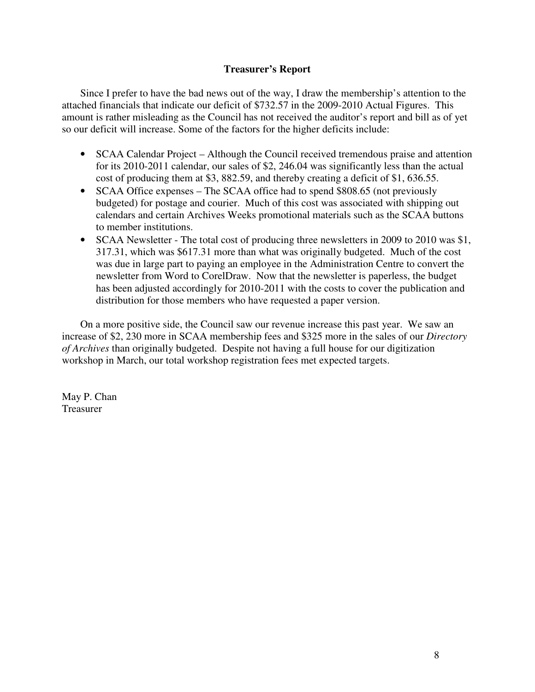## **Treasurer's Report**

Since I prefer to have the bad news out of the way, I draw the membership's attention to the attached financials that indicate our deficit of \$732.57 in the 2009-2010 Actual Figures. This amount is rather misleading as the Council has not received the auditor's report and bill as of yet so our deficit will increase. Some of the factors for the higher deficits include:

- SCAA Calendar Project Although the Council received tremendous praise and attention for its 2010-2011 calendar, our sales of \$2, 246.04 was significantly less than the actual cost of producing them at \$3, 882.59, and thereby creating a deficit of \$1, 636.55.
- SCAA Office expenses The SCAA office had to spend \$808.65 (not previously budgeted) for postage and courier. Much of this cost was associated with shipping out calendars and certain Archives Weeks promotional materials such as the SCAA buttons to member institutions.
- SCAA Newsletter The total cost of producing three newsletters in 2009 to 2010 was \$1, 317.31, which was \$617.31 more than what was originally budgeted. Much of the cost was due in large part to paying an employee in the Administration Centre to convert the newsletter from Word to CorelDraw. Now that the newsletter is paperless, the budget has been adjusted accordingly for 2010-2011 with the costs to cover the publication and distribution for those members who have requested a paper version.

On a more positive side, the Council saw our revenue increase this past year. We saw an increase of \$2, 230 more in SCAA membership fees and \$325 more in the sales of our *Directory of Archives* than originally budgeted. Despite not having a full house for our digitization workshop in March, our total workshop registration fees met expected targets.

May P. Chan Treasurer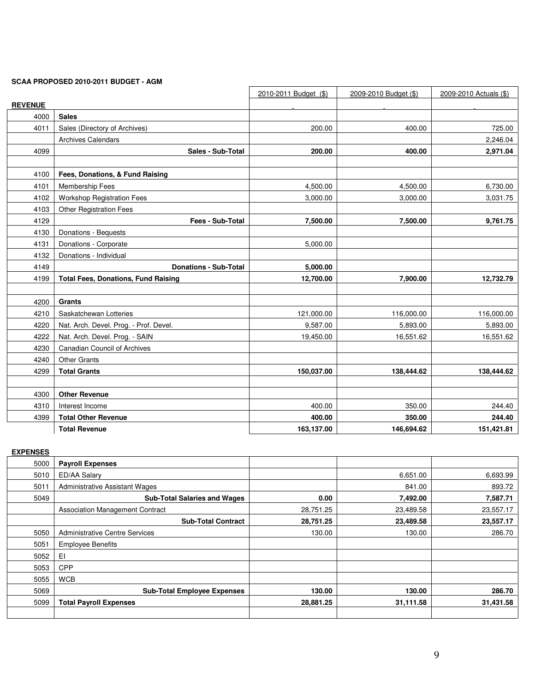#### **SCAA PROPOSED 2010-2011 BUDGET - AGM**

|                |                                            | 2010-2011 Budget (\$) | 2009-2010 Budget (\$) | 2009-2010 Actuals (\$) |
|----------------|--------------------------------------------|-----------------------|-----------------------|------------------------|
| <b>REVENUE</b> |                                            |                       |                       |                        |
| 4000           | <b>Sales</b>                               |                       |                       |                        |
| 4011           | Sales (Directory of Archives)              | 200.00                | 400.00                | 725.00                 |
|                | Archives Calendars                         |                       |                       | 2,246.04               |
| 4099           | Sales - Sub-Total                          | 200.00                | 400.00                | 2,971.04               |
| 4100           | Fees, Donations, & Fund Raising            |                       |                       |                        |
| 4101           | Membership Fees                            | 4,500.00              | 4,500.00              | 6,730.00               |
| 4102           | <b>Workshop Registration Fees</b>          | 3,000.00              | 3,000.00              | 3,031.75               |
| 4103           | Other Registration Fees                    |                       |                       |                        |
| 4129           | Fees - Sub-Total                           | 7,500.00              | 7,500.00              | 9,761.75               |
| 4130           | Donations - Bequests                       |                       |                       |                        |
| 4131           | Donations - Corporate                      | 5,000.00              |                       |                        |
| 4132           | Donations - Individual                     |                       |                       |                        |
| 4149           | <b>Donations - Sub-Total</b>               | 5,000.00              |                       |                        |
| 4199           | <b>Total Fees, Donations, Fund Raising</b> | 12,700.00             | 7,900.00              | 12,732.79              |
|                |                                            |                       |                       |                        |
| 4200           | Grants                                     |                       |                       |                        |
| 4210           | Saskatchewan Lotteries                     | 121,000.00            | 116,000.00            | 116,000.00             |
| 4220           | Nat. Arch. Devel. Prog. - Prof. Devel.     | 9,587.00              | 5,893.00              | 5,893.00               |
| 4222           | Nat. Arch. Devel. Prog. - SAIN             | 19,450.00             | 16,551.62             | 16,551.62              |
| 4230           | <b>Canadian Council of Archives</b>        |                       |                       |                        |
| 4240           | <b>Other Grants</b>                        |                       |                       |                        |
| 4299           | <b>Total Grants</b>                        | 150,037.00            | 138,444.62            | 138,444.62             |
|                |                                            |                       |                       |                        |
| 4300           | <b>Other Revenue</b>                       |                       |                       |                        |
| 4310           | Interest Income                            | 400.00                | 350.00                | 244.40                 |
| 4399           | <b>Total Other Revenue</b>                 | 400.00                | 350.00                | 244.40                 |
|                | <b>Total Revenue</b>                       | 163,137.00            | 146,694.62            | 151,421.81             |

#### **EXPENSES**

| 5000 | <b>Payroll Expenses</b>                |           |           |           |
|------|----------------------------------------|-----------|-----------|-----------|
| 5010 | ED/AA Salary                           |           | 6,651.00  | 6,693.99  |
| 501  | <b>Administrative Assistant Wages</b>  |           | 841.00    | 893.72    |
| 5049 | <b>Sub-Total Salaries and Wages</b>    | 0.00      | 7,492.00  | 7,587.71  |
|      | <b>Association Management Contract</b> | 28,751.25 | 23,489.58 | 23,557.17 |
|      | <b>Sub-Total Contract</b>              | 28,751.25 | 23,489.58 | 23,557.17 |
| 5050 | <b>Administrative Centre Services</b>  | 130.00    | 130.00    | 286.70    |
| 5051 | <b>Employee Benefits</b>               |           |           |           |
| 5052 | EI                                     |           |           |           |
| 5053 | <b>CPP</b>                             |           |           |           |
| 5055 | <b>WCB</b>                             |           |           |           |
| 5069 | <b>Sub-Total Employee Expenses</b>     | 130.00    | 130.00    | 286.70    |
| 5099 | <b>Total Payroll Expenses</b>          | 28,881.25 | 31,111.58 | 31,431.58 |
|      |                                        |           |           |           |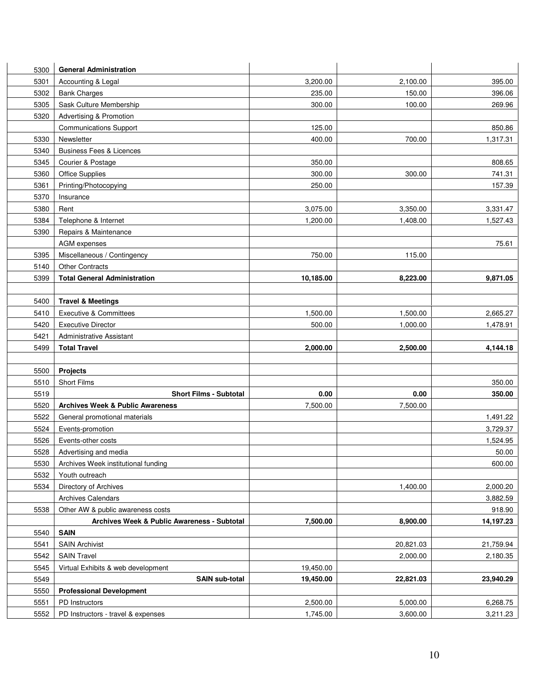| 5300         | <b>General Administration</b>                        |                      |                      |                      |
|--------------|------------------------------------------------------|----------------------|----------------------|----------------------|
| 5301         | Accounting & Legal                                   | 3,200.00             | 2,100.00             | 395.00               |
| 5302         | <b>Bank Charges</b>                                  | 235.00               | 150.00               | 396.06               |
| 5305         | Sask Culture Membership                              | 300.00               | 100.00               | 269.96               |
| 5320         | Advertising & Promotion                              |                      |                      |                      |
|              | <b>Communications Support</b>                        | 125.00               |                      | 850.86               |
| 5330         | Newsletter                                           | 400.00               | 700.00               | 1,317.31             |
| 5340         | <b>Business Fees &amp; Licences</b>                  |                      |                      |                      |
| 5345         | Courier & Postage                                    | 350.00               |                      | 808.65               |
| 5360         | Office Supplies                                      | 300.00               | 300.00               | 741.31               |
| 5361         | Printing/Photocopying                                | 250.00               |                      | 157.39               |
| 5370         | Insurance                                            |                      |                      |                      |
| 5380         | Rent                                                 | 3,075.00             | 3,350.00             | 3,331.47             |
| 5384         | Telephone & Internet                                 | 1,200.00             | 1,408.00             | 1,527.43             |
| 5390         | Repairs & Maintenance                                |                      |                      |                      |
|              | AGM expenses                                         |                      |                      | 75.61                |
| 5395         | Miscellaneous / Contingency                          | 750.00               | 115.00               |                      |
| 5140         | <b>Other Contracts</b>                               |                      |                      |                      |
| 5399         | <b>Total General Administration</b>                  | 10,185.00            | 8,223.00             | 9,871.05             |
|              |                                                      |                      |                      |                      |
| 5400         | <b>Travel &amp; Meetings</b>                         |                      |                      |                      |
| 5410         | <b>Executive &amp; Committees</b>                    | 1,500.00             | 1,500.00             | 2,665.27             |
| 5420         | <b>Executive Director</b>                            | 500.00               | 1,000.00             | 1,478.91             |
| 5421         | <b>Administrative Assistant</b>                      |                      |                      |                      |
| 5499         | <b>Total Travel</b>                                  | 2,000.00             | 2,500.00             | 4,144.18             |
|              |                                                      |                      |                      |                      |
| 5500         | <b>Projects</b>                                      |                      |                      |                      |
| 5510         | Short Films                                          |                      |                      | 350.00               |
| 5519         | <b>Short Films - Subtotal</b>                        | 0.00                 | 0.00                 | 350.00               |
| 5520         | <b>Archives Week &amp; Public Awareness</b>          | 7,500.00             | 7,500.00             |                      |
| 5522         | General promotional materials                        |                      |                      | 1,491.22             |
| 5524         | Events-promotion                                     |                      |                      | 3,729.37             |
| 5526         | Events-other costs                                   |                      |                      | 1,524.95             |
| 5528         | Advertising and media                                |                      |                      | 50.00                |
| 5530         | Archives Week institutional funding                  |                      |                      | 600.00               |
| 5532         | Youth outreach                                       |                      |                      |                      |
| 5534         | Directory of Archives                                |                      | 1,400.00             | 2,000.20             |
|              | <b>Archives Calendars</b>                            |                      |                      | 3,882.59             |
| 5538         | Other AW & public awareness costs                    |                      |                      | 918.90               |
|              |                                                      |                      |                      |                      |
| 5540         | Archives Week & Public Awareness - Subtotal          | 7,500.00             | 8,900.00             | 14,197.23            |
|              | <b>SAIN</b>                                          |                      |                      |                      |
| 5541         | <b>SAIN Archivist</b>                                |                      | 20,821.03            | 21,759.94            |
| 5542         | <b>SAIN Travel</b>                                   |                      | 2,000.00             | 2,180.35             |
| 5545         | Virtual Exhibits & web development                   | 19,450.00            |                      |                      |
| 5549         | <b>SAIN sub-total</b>                                | 19,450.00            | 22,821.03            | 23,940.29            |
| 5550         | <b>Professional Development</b>                      |                      |                      |                      |
| 5551<br>5552 | PD Instructors<br>PD Instructors - travel & expenses | 2,500.00<br>1,745.00 | 5,000.00<br>3,600.00 | 6,268.75<br>3,211.23 |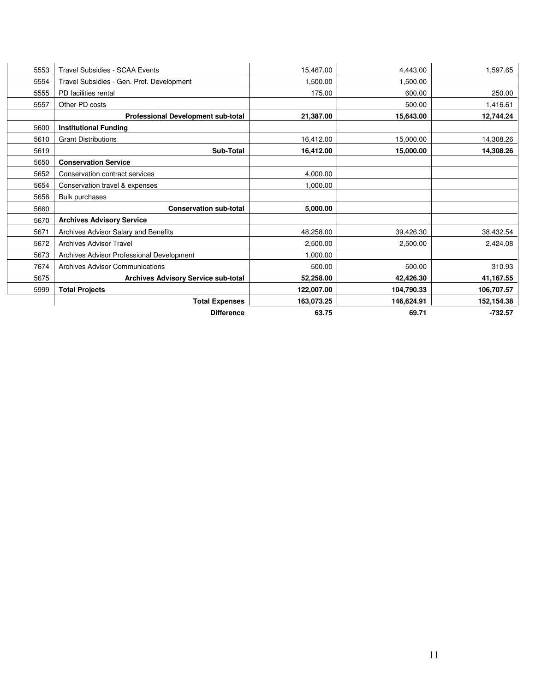| 5553 | <b>Travel Subsidies - SCAA Events</b>      | 15,467.00  | 4,443.00   | 1,597.65   |
|------|--------------------------------------------|------------|------------|------------|
| 5554 | Travel Subsidies - Gen. Prof. Development  | 1,500.00   | 1,500.00   |            |
| 5555 | PD facilities rental                       | 175.00     | 600.00     | 250.00     |
| 5557 | Other PD costs                             |            | 500.00     | 1,416.61   |
|      | Professional Development sub-total         | 21,387.00  | 15,643.00  | 12,744.24  |
| 5600 | <b>Institutional Funding</b>               |            |            |            |
| 5610 | <b>Grant Distributions</b>                 | 16,412.00  | 15,000.00  | 14,308.26  |
| 5619 | Sub-Total                                  | 16,412.00  | 15,000.00  | 14,308.26  |
| 5650 | <b>Conservation Service</b>                |            |            |            |
| 5652 | Conservation contract services             | 4,000.00   |            |            |
| 5654 | Conservation travel & expenses             | 1,000.00   |            |            |
| 5656 | <b>Bulk purchases</b>                      |            |            |            |
| 5660 | <b>Conservation sub-total</b>              | 5,000.00   |            |            |
| 5670 | <b>Archives Advisory Service</b>           |            |            |            |
| 5671 | Archives Advisor Salary and Benefits       | 48,258.00  | 39,426.30  | 38,432.54  |
| 5672 | <b>Archives Advisor Travel</b>             | 2,500.00   | 2,500.00   | 2,424.08   |
| 5673 | Archives Advisor Professional Development  | 1,000.00   |            |            |
| 7674 | <b>Archives Advisor Communications</b>     | 500.00     | 500.00     | 310.93     |
| 5675 | <b>Archives Advisory Service sub-total</b> | 52,258.00  | 42,426.30  | 41,167.55  |
| 5999 | <b>Total Projects</b>                      | 122,007.00 | 104,790.33 | 106,707.57 |
|      | <b>Total Expenses</b>                      | 163,073.25 | 146,624.91 | 152,154.38 |
|      | <b>Difference</b>                          | 63.75      | 69.71      | $-732.57$  |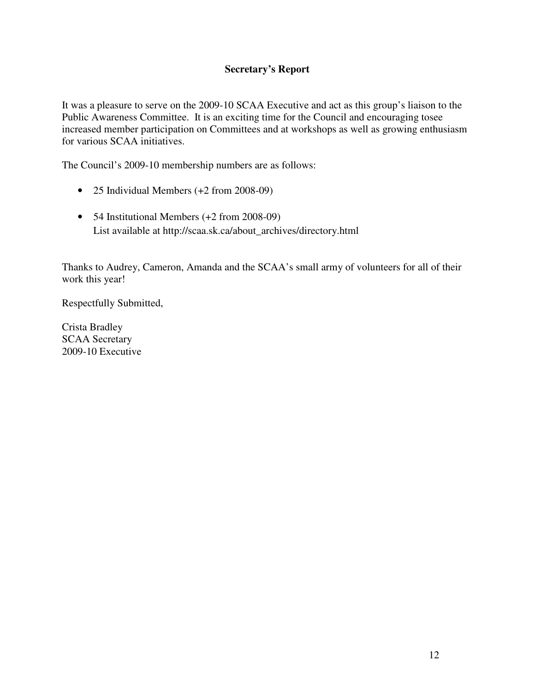## **Secretary's Report**

It was a pleasure to serve on the 2009-10 SCAA Executive and act as this group's liaison to the Public Awareness Committee. It is an exciting time for the Council and encouraging tosee increased member participation on Committees and at workshops as well as growing enthusiasm for various SCAA initiatives.

The Council's 2009-10 membership numbers are as follows:

- 25 Individual Members (+2 from 2008-09)
- 54 Institutional Members (+2 from 2008-09) List available at http://scaa.sk.ca/about\_archives/directory.html

Thanks to Audrey, Cameron, Amanda and the SCAA's small army of volunteers for all of their work this year!

Respectfully Submitted,

Crista Bradley SCAA Secretary 2009-10 Executive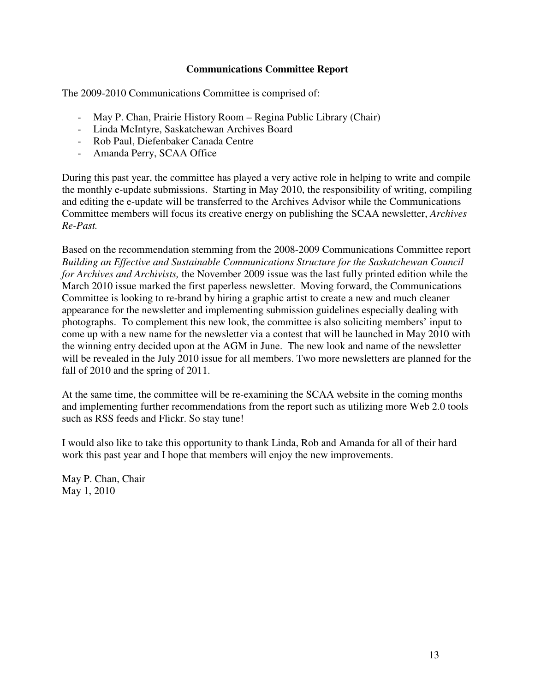## **Communications Committee Report**

The 2009-2010 Communications Committee is comprised of:

- May P. Chan, Prairie History Room Regina Public Library (Chair)
- Linda McIntyre, Saskatchewan Archives Board
- Rob Paul, Diefenbaker Canada Centre
- Amanda Perry, SCAA Office

During this past year, the committee has played a very active role in helping to write and compile the monthly e-update submissions. Starting in May 2010, the responsibility of writing, compiling and editing the e-update will be transferred to the Archives Advisor while the Communications Committee members will focus its creative energy on publishing the SCAA newsletter, *Archives Re-Past.*

Based on the recommendation stemming from the 2008-2009 Communications Committee report *Building an Effective and Sustainable Communications Structure for the Saskatchewan Council for Archives and Archivists,* the November 2009 issue was the last fully printed edition while the March 2010 issue marked the first paperless newsletter. Moving forward, the Communications Committee is looking to re-brand by hiring a graphic artist to create a new and much cleaner appearance for the newsletter and implementing submission guidelines especially dealing with photographs. To complement this new look, the committee is also soliciting members' input to come up with a new name for the newsletter via a contest that will be launched in May 2010 with the winning entry decided upon at the AGM in June. The new look and name of the newsletter will be revealed in the July 2010 issue for all members. Two more newsletters are planned for the fall of 2010 and the spring of 2011.

At the same time, the committee will be re-examining the SCAA website in the coming months and implementing further recommendations from the report such as utilizing more Web 2.0 tools such as RSS feeds and Flickr. So stay tune!

I would also like to take this opportunity to thank Linda, Rob and Amanda for all of their hard work this past year and I hope that members will enjoy the new improvements.

May P. Chan, Chair May 1, 2010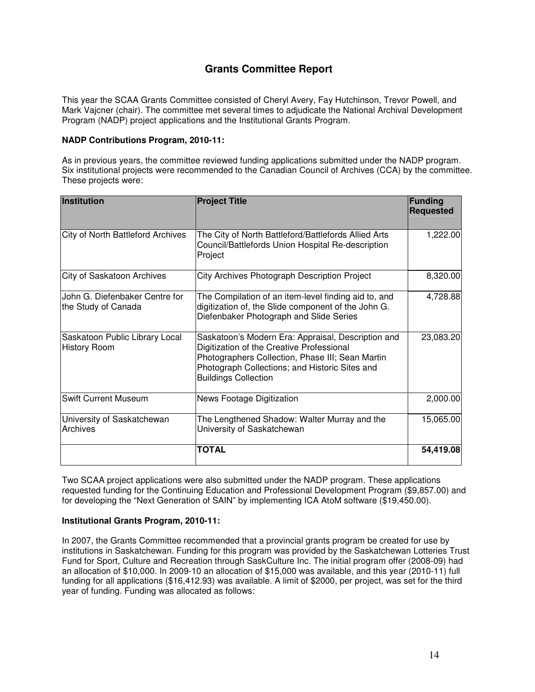## **Grants Committee Report**

This year the SCAA Grants Committee consisted of Cheryl Avery, Fay Hutchinson, Trevor Powell, and Mark Vajcner (chair). The committee met several times to adjudicate the National Archival Development Program (NADP) project applications and the Institutional Grants Program.

#### **NADP Contributions Program, 2010-11:**

As in previous years, the committee reviewed funding applications submitted under the NADP program. Six institutional projects were recommended to the Canadian Council of Archives (CCA) by the committee. These projects were:

| Institution                                           | <b>Project Title</b>                                                                                                                                                                                                                 | Funding<br><b>Requested</b> |
|-------------------------------------------------------|--------------------------------------------------------------------------------------------------------------------------------------------------------------------------------------------------------------------------------------|-----------------------------|
| <b>City of North Battleford Archives</b>              | The City of North Battleford/Battlefords Allied Arts<br>Council/Battlefords Union Hospital Re-description<br>Project                                                                                                                 | 1,222.00                    |
| <b>City of Saskatoon Archives</b>                     | City Archives Photograph Description Project                                                                                                                                                                                         | 8,320.00                    |
| John G. Diefenbaker Centre for<br>the Study of Canada | The Compilation of an item-level finding aid to, and<br>digitization of, the Slide component of the John G.<br>Diefenbaker Photograph and Slide Series                                                                               | 4,728.88                    |
| Saskatoon Public Library Local<br><b>History Room</b> | Saskatoon's Modern Era: Appraisal, Description and<br>Digitization of the Creative Professional<br>Photographers Collection, Phase III; Sean Martin<br>Photograph Collections; and Historic Sites and<br><b>Buildings Collection</b> | 23,083.20                   |
| <b>Swift Current Museum</b>                           | News Footage Digitization                                                                                                                                                                                                            | 2,000.00                    |
| University of Saskatchewan<br>Archives                | The Lengthened Shadow: Walter Murray and the<br>University of Saskatchewan                                                                                                                                                           | 15,065.00                   |
|                                                       | <b>TOTAL</b>                                                                                                                                                                                                                         | 54,419.08                   |

Two SCAA project applications were also submitted under the NADP program. These applications requested funding for the Continuing Education and Professional Development Program (\$9,857.00) and for developing the "Next Generation of SAIN" by implementing ICA AtoM software (\$19,450.00).

#### **Institutional Grants Program, 2010-11:**

In 2007, the Grants Committee recommended that a provincial grants program be created for use by institutions in Saskatchewan. Funding for this program was provided by the Saskatchewan Lotteries Trust Fund for Sport, Culture and Recreation through SaskCulture Inc. The initial program offer (2008-09) had an allocation of \$10,000. In 2009-10 an allocation of \$15,000 was available, and this year (2010-11) full funding for all applications (\$16,412.93) was available. A limit of \$2000, per project, was set for the third year of funding. Funding was allocated as follows: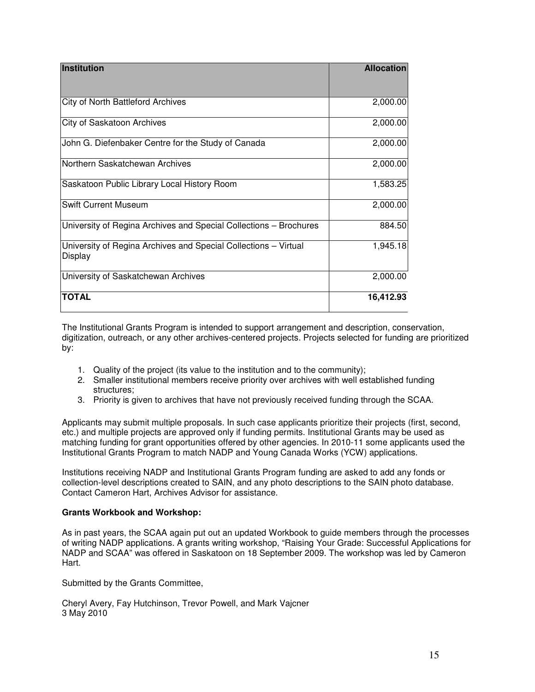| <b>Institution</b>                                                         | <b>Allocation</b> |
|----------------------------------------------------------------------------|-------------------|
| <b>City of North Battleford Archives</b>                                   | 2,000.00          |
| City of Saskatoon Archives                                                 | 2,000.00          |
| John G. Diefenbaker Centre for the Study of Canada                         | 2,000.00          |
| Northern Saskatchewan Archives                                             | 2,000.00          |
| Saskatoon Public Library Local History Room                                | 1,583.25          |
| <b>Swift Current Museum</b>                                                | 2,000.00          |
| University of Regina Archives and Special Collections - Brochures          | 884.50            |
| University of Regina Archives and Special Collections - Virtual<br>Display | 1,945.18          |
| University of Saskatchewan Archives                                        | 2,000.00          |
| <b>TOTAL</b>                                                               | 16,412.93         |

The Institutional Grants Program is intended to support arrangement and description, conservation, digitization, outreach, or any other archives-centered projects. Projects selected for funding are prioritized by:

- 1. Quality of the project (its value to the institution and to the community);
- 2. Smaller institutional members receive priority over archives with well established funding structures;
- 3. Priority is given to archives that have not previously received funding through the SCAA.

Applicants may submit multiple proposals. In such case applicants prioritize their projects (first, second, etc.) and multiple projects are approved only if funding permits. Institutional Grants may be used as matching funding for grant opportunities offered by other agencies. In 2010-11 some applicants used the Institutional Grants Program to match NADP and Young Canada Works (YCW) applications.

Institutions receiving NADP and Institutional Grants Program funding are asked to add any fonds or collection-level descriptions created to SAIN, and any photo descriptions to the SAIN photo database. Contact Cameron Hart, Archives Advisor for assistance.

#### **Grants Workbook and Workshop:**

As in past years, the SCAA again put out an updated Workbook to guide members through the processes of writing NADP applications. A grants writing workshop, "Raising Your Grade: Successful Applications for NADP and SCAA" was offered in Saskatoon on 18 September 2009. The workshop was led by Cameron Hart.

Submitted by the Grants Committee,

Cheryl Avery, Fay Hutchinson, Trevor Powell, and Mark Vajcner 3 May 2010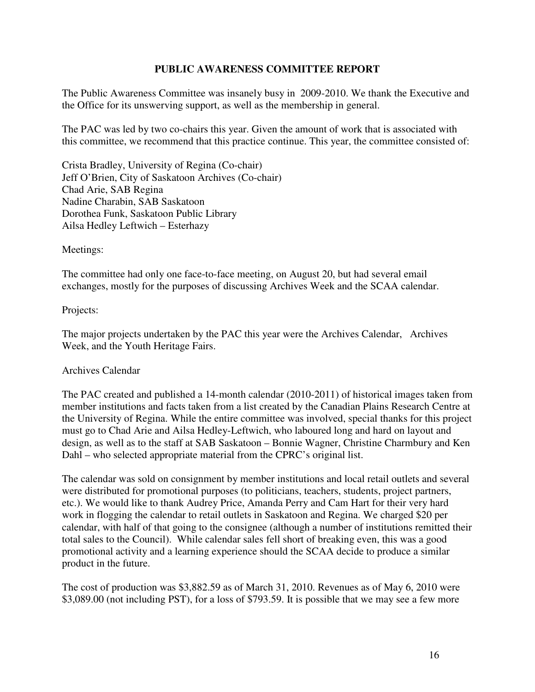## **PUBLIC AWARENESS COMMITTEE REPORT**

The Public Awareness Committee was insanely busy in 2009-2010. We thank the Executive and the Office for its unswerving support, as well as the membership in general.

The PAC was led by two co-chairs this year. Given the amount of work that is associated with this committee, we recommend that this practice continue. This year, the committee consisted of:

Crista Bradley, University of Regina (Co-chair) Jeff O'Brien, City of Saskatoon Archives (Co-chair) Chad Arie, SAB Regina Nadine Charabin, SAB Saskatoon Dorothea Funk, Saskatoon Public Library Ailsa Hedley Leftwich – Esterhazy

Meetings:

The committee had only one face-to-face meeting, on August 20, but had several email exchanges, mostly for the purposes of discussing Archives Week and the SCAA calendar.

Projects:

The major projects undertaken by the PAC this year were the Archives Calendar, Archives Week, and the Youth Heritage Fairs.

## Archives Calendar

The PAC created and published a 14-month calendar (2010-2011) of historical images taken from member institutions and facts taken from a list created by the Canadian Plains Research Centre at the University of Regina. While the entire committee was involved, special thanks for this project must go to Chad Arie and Ailsa Hedley-Leftwich, who laboured long and hard on layout and design, as well as to the staff at SAB Saskatoon – Bonnie Wagner, Christine Charmbury and Ken Dahl – who selected appropriate material from the CPRC's original list.

The calendar was sold on consignment by member institutions and local retail outlets and several were distributed for promotional purposes (to politicians, teachers, students, project partners, etc.). We would like to thank Audrey Price, Amanda Perry and Cam Hart for their very hard work in flogging the calendar to retail outlets in Saskatoon and Regina. We charged \$20 per calendar, with half of that going to the consignee (although a number of institutions remitted their total sales to the Council). While calendar sales fell short of breaking even, this was a good promotional activity and a learning experience should the SCAA decide to produce a similar product in the future.

The cost of production was \$3,882.59 as of March 31, 2010. Revenues as of May 6, 2010 were \$3,089.00 (not including PST), for a loss of \$793.59. It is possible that we may see a few more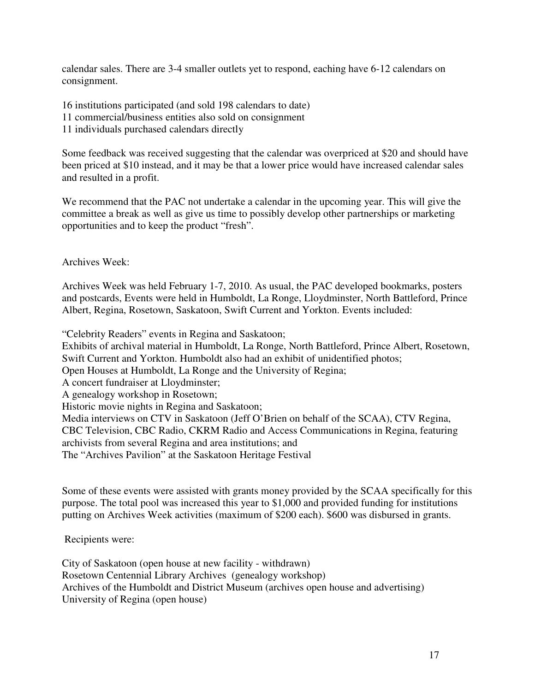calendar sales. There are 3-4 smaller outlets yet to respond, eaching have 6-12 calendars on consignment.

16 institutions participated (and sold 198 calendars to date)

11 commercial/business entities also sold on consignment

11 individuals purchased calendars directly

Some feedback was received suggesting that the calendar was overpriced at \$20 and should have been priced at \$10 instead, and it may be that a lower price would have increased calendar sales and resulted in a profit.

We recommend that the PAC not undertake a calendar in the upcoming year. This will give the committee a break as well as give us time to possibly develop other partnerships or marketing opportunities and to keep the product "fresh".

Archives Week:

Archives Week was held February 1-7, 2010. As usual, the PAC developed bookmarks, posters and postcards, Events were held in Humboldt, La Ronge, Lloydminster, North Battleford, Prince Albert, Regina, Rosetown, Saskatoon, Swift Current and Yorkton. Events included:

"Celebrity Readers" events in Regina and Saskatoon;

Exhibits of archival material in Humboldt, La Ronge, North Battleford, Prince Albert, Rosetown, Swift Current and Yorkton. Humboldt also had an exhibit of unidentified photos;

Open Houses at Humboldt, La Ronge and the University of Regina;

A concert fundraiser at Lloydminster;

A genealogy workshop in Rosetown;

Historic movie nights in Regina and Saskatoon;

Media interviews on CTV in Saskatoon (Jeff O'Brien on behalf of the SCAA), CTV Regina, CBC Television, CBC Radio, CKRM Radio and Access Communications in Regina, featuring archivists from several Regina and area institutions; and

The "Archives Pavilion" at the Saskatoon Heritage Festival

Some of these events were assisted with grants money provided by the SCAA specifically for this purpose. The total pool was increased this year to \$1,000 and provided funding for institutions putting on Archives Week activities (maximum of \$200 each). \$600 was disbursed in grants.

Recipients were:

City of Saskatoon (open house at new facility - withdrawn) Rosetown Centennial Library Archives (genealogy workshop) Archives of the Humboldt and District Museum (archives open house and advertising) University of Regina (open house)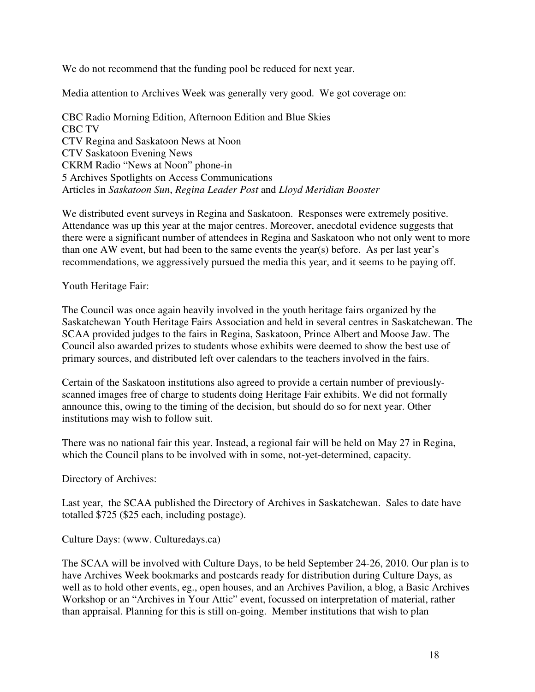We do not recommend that the funding pool be reduced for next year.

Media attention to Archives Week was generally very good. We got coverage on:

CBC Radio Morning Edition, Afternoon Edition and Blue Skies CBC TV CTV Regina and Saskatoon News at Noon CTV Saskatoon Evening News CKRM Radio "News at Noon" phone-in 5 Archives Spotlights on Access Communications Articles in *Saskatoon Sun*, *Regina Leader Post* and *Lloyd Meridian Booster*

We distributed event surveys in Regina and Saskatoon. Responses were extremely positive. Attendance was up this year at the major centres. Moreover, anecdotal evidence suggests that there were a significant number of attendees in Regina and Saskatoon who not only went to more than one AW event, but had been to the same events the year(s) before. As per last year's recommendations, we aggressively pursued the media this year, and it seems to be paying off.

Youth Heritage Fair:

The Council was once again heavily involved in the youth heritage fairs organized by the Saskatchewan Youth Heritage Fairs Association and held in several centres in Saskatchewan. The SCAA provided judges to the fairs in Regina, Saskatoon, Prince Albert and Moose Jaw. The Council also awarded prizes to students whose exhibits were deemed to show the best use of primary sources, and distributed left over calendars to the teachers involved in the fairs.

Certain of the Saskatoon institutions also agreed to provide a certain number of previouslyscanned images free of charge to students doing Heritage Fair exhibits. We did not formally announce this, owing to the timing of the decision, but should do so for next year. Other institutions may wish to follow suit.

There was no national fair this year. Instead, a regional fair will be held on May 27 in Regina, which the Council plans to be involved with in some, not-yet-determined, capacity.

Directory of Archives:

Last year, the SCAA published the Directory of Archives in Saskatchewan. Sales to date have totalled \$725 (\$25 each, including postage).

Culture Days: (www. Culturedays.ca)

The SCAA will be involved with Culture Days, to be held September 24-26, 2010. Our plan is to have Archives Week bookmarks and postcards ready for distribution during Culture Days, as well as to hold other events, eg., open houses, and an Archives Pavilion, a blog, a Basic Archives Workshop or an "Archives in Your Attic" event, focussed on interpretation of material, rather than appraisal. Planning for this is still on-going. Member institutions that wish to plan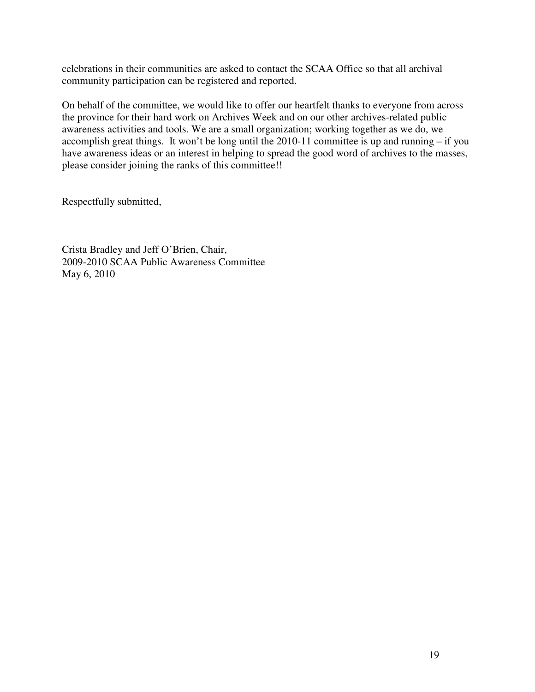celebrations in their communities are asked to contact the SCAA Office so that all archival community participation can be registered and reported.

On behalf of the committee, we would like to offer our heartfelt thanks to everyone from across the province for their hard work on Archives Week and on our other archives-related public awareness activities and tools. We are a small organization; working together as we do, we accomplish great things. It won't be long until the 2010-11 committee is up and running – if you have awareness ideas or an interest in helping to spread the good word of archives to the masses, please consider joining the ranks of this committee!!

Respectfully submitted,

Crista Bradley and Jeff O'Brien, Chair, 2009-2010 SCAA Public Awareness Committee May 6, 2010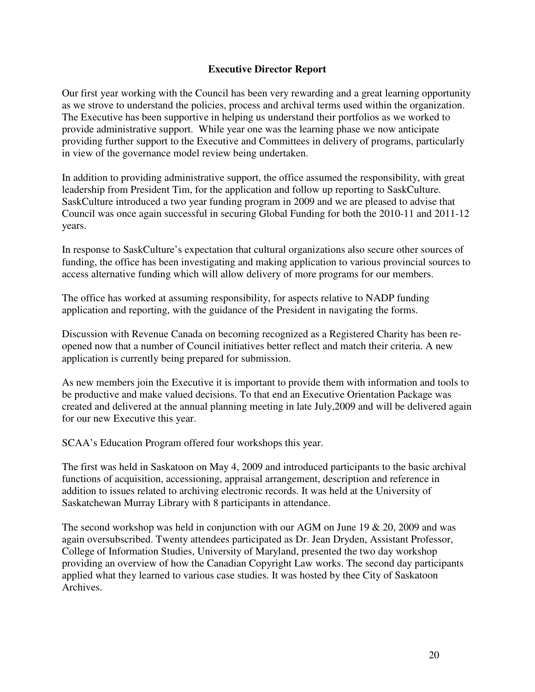## **Executive Director Report**

Our first year working with the Council has been very rewarding and a great learning opportunity as we strove to understand the policies, process and archival terms used within the organization. The Executive has been supportive in helping us understand their portfolios as we worked to provide administrative support. While year one was the learning phase we now anticipate providing further support to the Executive and Committees in delivery of programs, particularly in view of the governance model review being undertaken.

In addition to providing administrative support, the office assumed the responsibility, with great leadership from President Tim, for the application and follow up reporting to SaskCulture. SaskCulture introduced a two year funding program in 2009 and we are pleased to advise that Council was once again successful in securing Global Funding for both the 2010-11 and 2011-12 years.

In response to SaskCulture's expectation that cultural organizations also secure other sources of funding, the office has been investigating and making application to various provincial sources to access alternative funding which will allow delivery of more programs for our members.

The office has worked at assuming responsibility, for aspects relative to NADP funding application and reporting, with the guidance of the President in navigating the forms.

Discussion with Revenue Canada on becoming recognized as a Registered Charity has been reopened now that a number of Council initiatives better reflect and match their criteria. A new application is currently being prepared for submission.

As new members join the Executive it is important to provide them with information and tools to be productive and make valued decisions. To that end an Executive Orientation Package was created and delivered at the annual planning meeting in late July,2009 and will be delivered again for our new Executive this year.

SCAA's Education Program offered four workshops this year.

The first was held in Saskatoon on May 4, 2009 and introduced participants to the basic archival functions of acquisition, accessioning, appraisal arrangement, description and reference in addition to issues related to archiving electronic records. It was held at the University of Saskatchewan Murray Library with 8 participants in attendance.

The second workshop was held in conjunction with our AGM on June 19 & 20, 2009 and was again oversubscribed. Twenty attendees participated as Dr. Jean Dryden, Assistant Professor, College of Information Studies, University of Maryland, presented the two day workshop providing an overview of how the Canadian Copyright Law works. The second day participants applied what they learned to various case studies. It was hosted by thee City of Saskatoon Archives.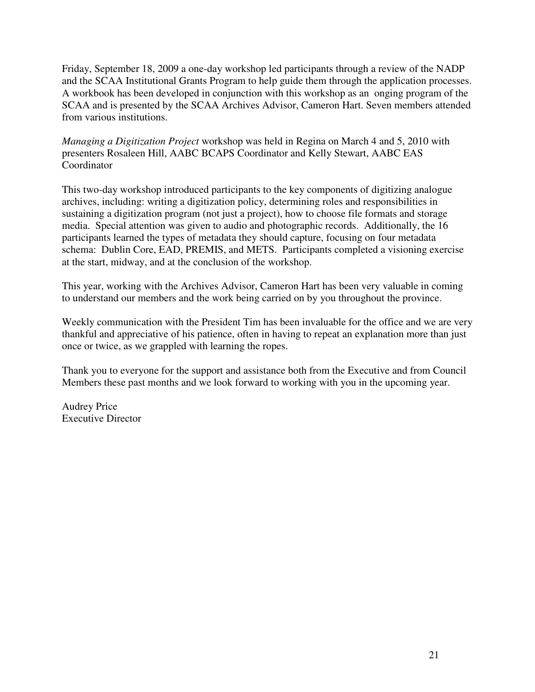Friday, September 18, 2009 a one-day workshop led participants through a review of the NADP and the SCAA Institutional Grants Program to help guide them through the application processes. A workbook has been developed in conjunction with this workshop as an onging program of the SCAA and is presented by the SCAA Archives Advisor, Cameron Hart. Seven members attended from various institutions.

*Managing a Digitization Project* workshop was held in Regina on March 4 and 5, 2010 with presenters Rosaleen Hill, AABC BCAPS Coordinator and Kelly Stewart, AABC EAS Coordinator

This two-day workshop introduced participants to the key components of digitizing analogue archives, including: writing a digitization policy, determining roles and responsibilities in sustaining a digitization program (not just a project), how to choose file formats and storage media. Special attention was given to audio and photographic records. Additionally, the 16 participants learned the types of metadata they should capture, focusing on four metadata schema: Dublin Core, EAD, PREMIS, and METS. Participants completed a visioning exercise at the start, midway, and at the conclusion of the workshop.

This year, working with the Archives Advisor, Cameron Hart has been very valuable in coming to understand our members and the work being carried on by you throughout the province.

Weekly communication with the President Tim has been invaluable for the office and we are very thankful and appreciative of his patience, often in having to repeat an explanation more than just once or twice, as we grappled with learning the ropes.

Thank you to everyone for the support and assistance both from the Executive and from Council Members these past months and we look forward to working with you in the upcoming year.

Audrey Price Executive Director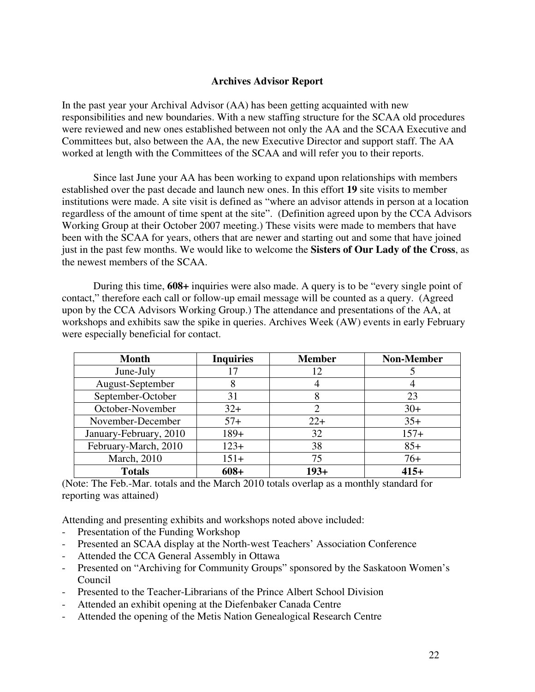## **Archives Advisor Report**

In the past year your Archival Advisor (AA) has been getting acquainted with new responsibilities and new boundaries. With a new staffing structure for the SCAA old procedures were reviewed and new ones established between not only the AA and the SCAA Executive and Committees but, also between the AA, the new Executive Director and support staff. The AA worked at length with the Committees of the SCAA and will refer you to their reports.

Since last June your AA has been working to expand upon relationships with members established over the past decade and launch new ones. In this effort **19** site visits to member institutions were made. A site visit is defined as "where an advisor attends in person at a location regardless of the amount of time spent at the site". (Definition agreed upon by the CCA Advisors Working Group at their October 2007 meeting.) These visits were made to members that have been with the SCAA for years, others that are newer and starting out and some that have joined just in the past few months. We would like to welcome the **Sisters of Our Lady of the Cross**, as the newest members of the SCAA.

During this time, **608+** inquiries were also made. A query is to be "every single point of contact," therefore each call or follow-up email message will be counted as a query. (Agreed upon by the CCA Advisors Working Group.) The attendance and presentations of the AA, at workshops and exhibits saw the spike in queries. Archives Week (AW) events in early February were especially beneficial for contact.

| <b>Month</b>           | <b>Inquiries</b> | <b>Member</b> | <b>Non-Member</b> |
|------------------------|------------------|---------------|-------------------|
| June-July              |                  | 12            |                   |
| August-September       | 8                |               |                   |
| September-October      | 31               | 8             | 23                |
| October-November       | $32+$            |               | $30+$             |
| November-December      | $57+$            | $22+$         | $35+$             |
| January-February, 2010 | $189+$           | 32            | $157+$            |
| February-March, 2010   | $123+$           | 38            | $85+$             |
| March, 2010            | $151+$           | 75            | $76+$             |
| <b>Totals</b>          | $608+$           | $193+$        | $415+$            |

(Note: The Feb.-Mar. totals and the March 2010 totals overlap as a monthly standard for reporting was attained)

Attending and presenting exhibits and workshops noted above included:

- Presentation of the Funding Workshop
- Presented an SCAA display at the North-west Teachers' Association Conference
- Attended the CCA General Assembly in Ottawa
- Presented on "Archiving for Community Groups" sponsored by the Saskatoon Women's Council
- Presented to the Teacher-Librarians of the Prince Albert School Division
- Attended an exhibit opening at the Diefenbaker Canada Centre
- Attended the opening of the Metis Nation Genealogical Research Centre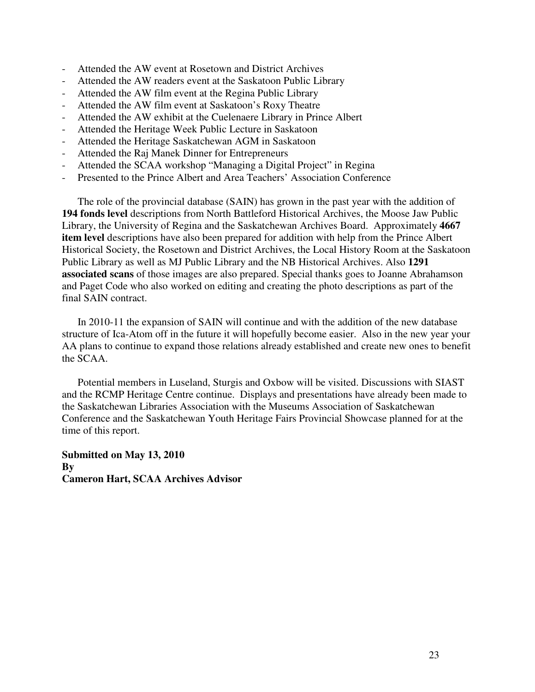- Attended the AW event at Rosetown and District Archives
- Attended the AW readers event at the Saskatoon Public Library
- Attended the AW film event at the Regina Public Library
- Attended the AW film event at Saskatoon's Roxy Theatre
- Attended the AW exhibit at the Cuelenaere Library in Prince Albert
- Attended the Heritage Week Public Lecture in Saskatoon
- Attended the Heritage Saskatchewan AGM in Saskatoon
- Attended the Raj Manek Dinner for Entrepreneurs
- Attended the SCAA workshop "Managing a Digital Project" in Regina
- Presented to the Prince Albert and Area Teachers' Association Conference

The role of the provincial database (SAIN) has grown in the past year with the addition of **194 fonds level** descriptions from North Battleford Historical Archives, the Moose Jaw Public Library, the University of Regina and the Saskatchewan Archives Board. Approximately **4667 item level** descriptions have also been prepared for addition with help from the Prince Albert Historical Society, the Rosetown and District Archives, the Local History Room at the Saskatoon Public Library as well as MJ Public Library and the NB Historical Archives. Also **1291 associated scans** of those images are also prepared. Special thanks goes to Joanne Abrahamson and Paget Code who also worked on editing and creating the photo descriptions as part of the final SAIN contract.

In 2010-11 the expansion of SAIN will continue and with the addition of the new database structure of Ica-Atom off in the future it will hopefully become easier. Also in the new year your AA plans to continue to expand those relations already established and create new ones to benefit the SCAA.

Potential members in Luseland, Sturgis and Oxbow will be visited. Discussions with SIAST and the RCMP Heritage Centre continue. Displays and presentations have already been made to the Saskatchewan Libraries Association with the Museums Association of Saskatchewan Conference and the Saskatchewan Youth Heritage Fairs Provincial Showcase planned for at the time of this report.

**Submitted on May 13, 2010 By Cameron Hart, SCAA Archives Advisor**